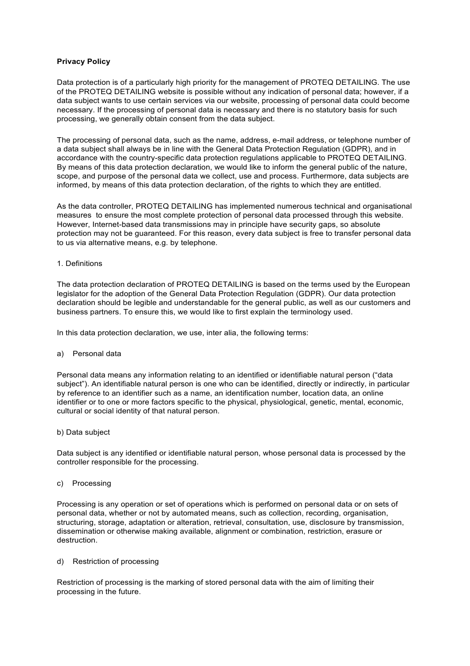# **Privacy Policy**

Data protection is of a particularly high priority for the management of PROTEQ DETAILING. The use of the PROTEQ DETAILING website is possible without any indication of personal data; however, if a data subject wants to use certain services via our website, processing of personal data could become necessary. If the processing of personal data is necessary and there is no statutory basis for such processing, we generally obtain consent from the data subject.

The processing of personal data, such as the name, address, e-mail address, or telephone number of a data subject shall always be in line with the General Data Protection Regulation (GDPR), and in accordance with the country-specific data protection regulations applicable to PROTEQ DETAILING. By means of this data protection declaration, we would like to inform the general public of the nature, scope, and purpose of the personal data we collect, use and process. Furthermore, data subjects are informed, by means of this data protection declaration, of the rights to which they are entitled.

As the data controller, PROTEQ DETAILING has implemented numerous technical and organisational measures to ensure the most complete protection of personal data processed through this website. However, Internet-based data transmissions may in principle have security gaps, so absolute protection may not be guaranteed. For this reason, every data subject is free to transfer personal data to us via alternative means, e.g. by telephone.

### 1. Definitions

The data protection declaration of PROTEQ DETAILING is based on the terms used by the European legislator for the adoption of the General Data Protection Regulation (GDPR). Our data protection declaration should be legible and understandable for the general public, as well as our customers and business partners. To ensure this, we would like to first explain the terminology used.

In this data protection declaration, we use, inter alia, the following terms:

### a) Personal data

Personal data means any information relating to an identified or identifiable natural person ("data subject"). An identifiable natural person is one who can be identified, directly or indirectly, in particular by reference to an identifier such as a name, an identification number, location data, an online identifier or to one or more factors specific to the physical, physiological, genetic, mental, economic, cultural or social identity of that natural person.

### b) Data subject

Data subject is any identified or identifiable natural person, whose personal data is processed by the controller responsible for the processing.

### c) Processing

Processing is any operation or set of operations which is performed on personal data or on sets of personal data, whether or not by automated means, such as collection, recording, organisation, structuring, storage, adaptation or alteration, retrieval, consultation, use, disclosure by transmission, dissemination or otherwise making available, alignment or combination, restriction, erasure or destruction.

### d) Restriction of processing

Restriction of processing is the marking of stored personal data with the aim of limiting their processing in the future.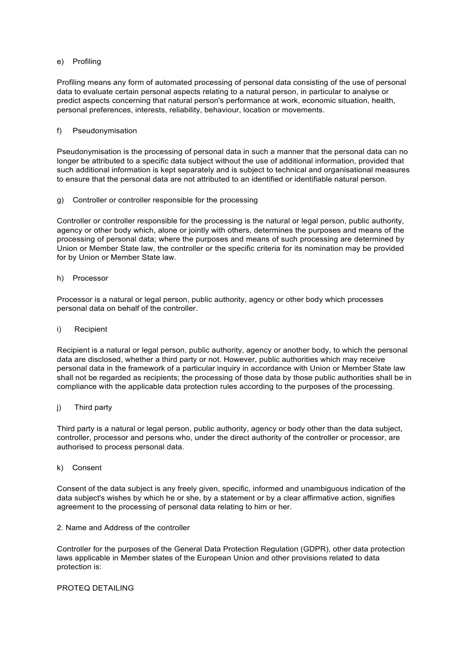## e) Profiling

Profiling means any form of automated processing of personal data consisting of the use of personal data to evaluate certain personal aspects relating to a natural person, in particular to analyse or predict aspects concerning that natural person's performance at work, economic situation, health, personal preferences, interests, reliability, behaviour, location or movements.

## f) Pseudonymisation

Pseudonymisation is the processing of personal data in such a manner that the personal data can no longer be attributed to a specific data subject without the use of additional information, provided that such additional information is kept separately and is subject to technical and organisational measures to ensure that the personal data are not attributed to an identified or identifiable natural person.

g) Controller or controller responsible for the processing

Controller or controller responsible for the processing is the natural or legal person, public authority, agency or other body which, alone or jointly with others, determines the purposes and means of the processing of personal data; where the purposes and means of such processing are determined by Union or Member State law, the controller or the specific criteria for its nomination may be provided for by Union or Member State law.

h) Processor

Processor is a natural or legal person, public authority, agency or other body which processes personal data on behalf of the controller.

## i) Recipient

Recipient is a natural or legal person, public authority, agency or another body, to which the personal data are disclosed, whether a third party or not. However, public authorities which may receive personal data in the framework of a particular inquiry in accordance with Union or Member State law shall not be regarded as recipients; the processing of those data by those public authorities shall be in compliance with the applicable data protection rules according to the purposes of the processing.

## j) Third party

Third party is a natural or legal person, public authority, agency or body other than the data subject, controller, processor and persons who, under the direct authority of the controller or processor, are authorised to process personal data.

### k) Consent

Consent of the data subject is any freely given, specific, informed and unambiguous indication of the data subject's wishes by which he or she, by a statement or by a clear affirmative action, signifies agreement to the processing of personal data relating to him or her.

2. Name and Address of the controller

Controller for the purposes of the General Data Protection Regulation (GDPR), other data protection laws applicable in Member states of the European Union and other provisions related to data protection is:

### PROTEQ DETAILING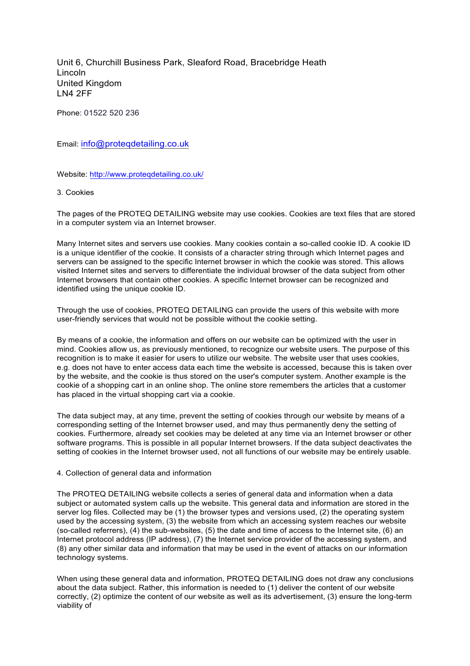Unit 6, Churchill Business Park, Sleaford Road, Bracebridge Heath Lincoln United Kingdom LN4 2FF

Phone: 01522 520 236

Email: info@proteqdetailing.co.uk

Website: http://www.proteqdetailing.co.uk/

### 3. Cookies

The pages of the PROTEQ DETAILING website may use cookies. Cookies are text files that are stored in a computer system via an Internet browser.

Many Internet sites and servers use cookies. Many cookies contain a so-called cookie ID. A cookie ID is a unique identifier of the cookie. It consists of a character string through which Internet pages and servers can be assigned to the specific Internet browser in which the cookie was stored. This allows visited Internet sites and servers to differentiate the individual browser of the data subject from other Internet browsers that contain other cookies. A specific Internet browser can be recognized and identified using the unique cookie ID.

Through the use of cookies, PROTEQ DETAILING can provide the users of this website with more user-friendly services that would not be possible without the cookie setting.

By means of a cookie, the information and offers on our website can be optimized with the user in mind. Cookies allow us, as previously mentioned, to recognize our website users. The purpose of this recognition is to make it easier for users to utilize our website. The website user that uses cookies, e.g. does not have to enter access data each time the website is accessed, because this is taken over by the website, and the cookie is thus stored on the user's computer system. Another example is the cookie of a shopping cart in an online shop. The online store remembers the articles that a customer has placed in the virtual shopping cart via a cookie.

The data subject may, at any time, prevent the setting of cookies through our website by means of a corresponding setting of the Internet browser used, and may thus permanently deny the setting of cookies. Furthermore, already set cookies may be deleted at any time via an Internet browser or other software programs. This is possible in all popular Internet browsers. If the data subject deactivates the setting of cookies in the Internet browser used, not all functions of our website may be entirely usable.

### 4. Collection of general data and information

The PROTEQ DETAILING website collects a series of general data and information when a data subject or automated system calls up the website. This general data and information are stored in the server log files. Collected may be (1) the browser types and versions used, (2) the operating system used by the accessing system, (3) the website from which an accessing system reaches our website (so-called referrers), (4) the sub-websites, (5) the date and time of access to the Internet site, (6) an Internet protocol address (IP address), (7) the Internet service provider of the accessing system, and (8) any other similar data and information that may be used in the event of attacks on our information technology systems.

When using these general data and information, PROTEQ DETAILING does not draw any conclusions about the data subject. Rather, this information is needed to (1) deliver the content of our website correctly, (2) optimize the content of our website as well as its advertisement, (3) ensure the long-term viability of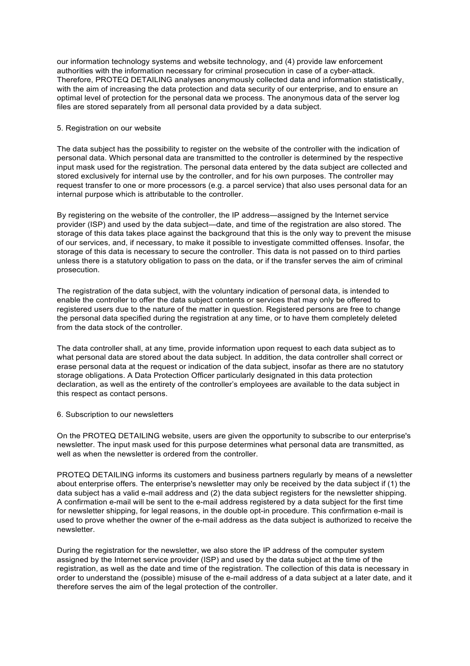our information technology systems and website technology, and (4) provide law enforcement authorities with the information necessary for criminal prosecution in case of a cyber-attack. Therefore, PROTEQ DETAILING analyses anonymously collected data and information statistically, with the aim of increasing the data protection and data security of our enterprise, and to ensure an optimal level of protection for the personal data we process. The anonymous data of the server log files are stored separately from all personal data provided by a data subject.

## 5. Registration on our website

The data subject has the possibility to register on the website of the controller with the indication of personal data. Which personal data are transmitted to the controller is determined by the respective input mask used for the registration. The personal data entered by the data subject are collected and stored exclusively for internal use by the controller, and for his own purposes. The controller may request transfer to one or more processors (e.g. a parcel service) that also uses personal data for an internal purpose which is attributable to the controller.

By registering on the website of the controller, the IP address—assigned by the Internet service provider (ISP) and used by the data subject—date, and time of the registration are also stored. The storage of this data takes place against the background that this is the only way to prevent the misuse of our services, and, if necessary, to make it possible to investigate committed offenses. Insofar, the storage of this data is necessary to secure the controller. This data is not passed on to third parties unless there is a statutory obligation to pass on the data, or if the transfer serves the aim of criminal prosecution.

The registration of the data subject, with the voluntary indication of personal data, is intended to enable the controller to offer the data subject contents or services that may only be offered to registered users due to the nature of the matter in question. Registered persons are free to change the personal data specified during the registration at any time, or to have them completely deleted from the data stock of the controller.

The data controller shall, at any time, provide information upon request to each data subject as to what personal data are stored about the data subject. In addition, the data controller shall correct or erase personal data at the request or indication of the data subject, insofar as there are no statutory storage obligations. A Data Protection Officer particularly designated in this data protection declaration, as well as the entirety of the controller's employees are available to the data subject in this respect as contact persons.

## 6. Subscription to our newsletters

On the PROTEQ DETAILING website, users are given the opportunity to subscribe to our enterprise's newsletter. The input mask used for this purpose determines what personal data are transmitted, as well as when the newsletter is ordered from the controller.

PROTEQ DETAILING informs its customers and business partners regularly by means of a newsletter about enterprise offers. The enterprise's newsletter may only be received by the data subject if (1) the data subject has a valid e-mail address and (2) the data subject registers for the newsletter shipping. A confirmation e-mail will be sent to the e-mail address registered by a data subject for the first time for newsletter shipping, for legal reasons, in the double opt-in procedure. This confirmation e-mail is used to prove whether the owner of the e-mail address as the data subject is authorized to receive the newsletter.

During the registration for the newsletter, we also store the IP address of the computer system assigned by the Internet service provider (ISP) and used by the data subject at the time of the registration, as well as the date and time of the registration. The collection of this data is necessary in order to understand the (possible) misuse of the e-mail address of a data subject at a later date, and it therefore serves the aim of the legal protection of the controller.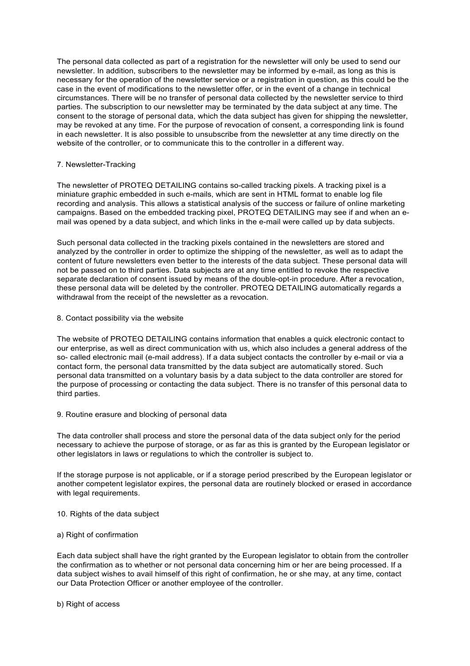The personal data collected as part of a registration for the newsletter will only be used to send our newsletter. In addition, subscribers to the newsletter may be informed by e-mail, as long as this is necessary for the operation of the newsletter service or a registration in question, as this could be the case in the event of modifications to the newsletter offer, or in the event of a change in technical circumstances. There will be no transfer of personal data collected by the newsletter service to third parties. The subscription to our newsletter may be terminated by the data subject at any time. The consent to the storage of personal data, which the data subject has given for shipping the newsletter, may be revoked at any time. For the purpose of revocation of consent, a corresponding link is found in each newsletter. It is also possible to unsubscribe from the newsletter at any time directly on the website of the controller, or to communicate this to the controller in a different way.

## 7. Newsletter-Tracking

The newsletter of PROTEQ DETAILING contains so-called tracking pixels. A tracking pixel is a miniature graphic embedded in such e-mails, which are sent in HTML format to enable log file recording and analysis. This allows a statistical analysis of the success or failure of online marketing campaigns. Based on the embedded tracking pixel, PROTEQ DETAILING may see if and when an email was opened by a data subject, and which links in the e-mail were called up by data subjects.

Such personal data collected in the tracking pixels contained in the newsletters are stored and analyzed by the controller in order to optimize the shipping of the newsletter, as well as to adapt the content of future newsletters even better to the interests of the data subject. These personal data will not be passed on to third parties. Data subjects are at any time entitled to revoke the respective separate declaration of consent issued by means of the double-opt-in procedure. After a revocation, these personal data will be deleted by the controller. PROTEQ DETAILING automatically regards a withdrawal from the receipt of the newsletter as a revocation.

### 8. Contact possibility via the website

The website of PROTEQ DETAILING contains information that enables a quick electronic contact to our enterprise, as well as direct communication with us, which also includes a general address of the so- called electronic mail (e-mail address). If a data subject contacts the controller by e-mail or via a contact form, the personal data transmitted by the data subject are automatically stored. Such personal data transmitted on a voluntary basis by a data subject to the data controller are stored for the purpose of processing or contacting the data subject. There is no transfer of this personal data to third parties.

9. Routine erasure and blocking of personal data

The data controller shall process and store the personal data of the data subject only for the period necessary to achieve the purpose of storage, or as far as this is granted by the European legislator or other legislators in laws or regulations to which the controller is subject to.

If the storage purpose is not applicable, or if a storage period prescribed by the European legislator or another competent legislator expires, the personal data are routinely blocked or erased in accordance with legal requirements.

- 10. Rights of the data subject
- a) Right of confirmation

Each data subject shall have the right granted by the European legislator to obtain from the controller the confirmation as to whether or not personal data concerning him or her are being processed. If a data subject wishes to avail himself of this right of confirmation, he or she may, at any time, contact our Data Protection Officer or another employee of the controller.

b) Right of access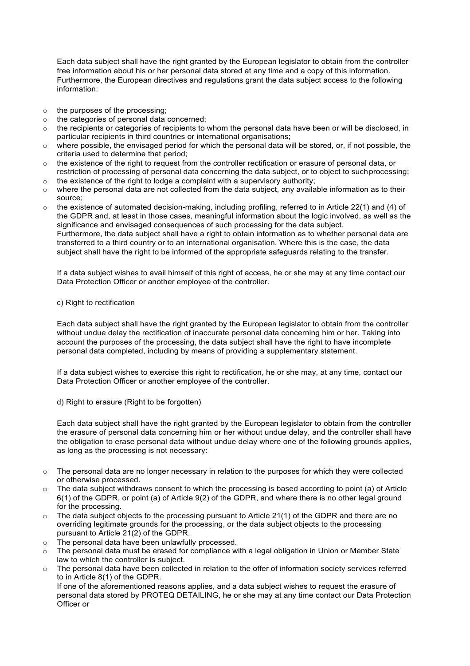Each data subject shall have the right granted by the European legislator to obtain from the controller free information about his or her personal data stored at any time and a copy of this information. Furthermore, the European directives and regulations grant the data subject access to the following information:

- o the purposes of the processing;
- o the categories of personal data concerned;
- $\circ$  the recipients or categories of recipients to whom the personal data have been or will be disclosed, in particular recipients in third countries or international organisations;
- $\circ$  where possible, the envisaged period for which the personal data will be stored, or, if not possible, the criteria used to determine that period;
- $\circ$  the existence of the right to request from the controller rectification or erasure of personal data, or restriction of processing of personal data concerning the data subject, or to object to suchprocessing;
- o the existence of the right to lodge a complaint with a supervisory authority;
- $\circ$  where the personal data are not collected from the data subject, any available information as to their source;
- $\circ$  the existence of automated decision-making, including profiling, referred to in Article 22(1) and (4) of the GDPR and, at least in those cases, meaningful information about the logic involved, as well as the significance and envisaged consequences of such processing for the data subject. Furthermore, the data subject shall have a right to obtain information as to whether personal data are transferred to a third country or to an international organisation. Where this is the case, the data

subject shall have the right to be informed of the appropriate safeguards relating to the transfer.

If a data subject wishes to avail himself of this right of access, he or she may at any time contact our Data Protection Officer or another employee of the controller.

# c) Right to rectification

Each data subject shall have the right granted by the European legislator to obtain from the controller without undue delay the rectification of inaccurate personal data concerning him or her. Taking into account the purposes of the processing, the data subject shall have the right to have incomplete personal data completed, including by means of providing a supplementary statement.

If a data subject wishes to exercise this right to rectification, he or she may, at any time, contact our Data Protection Officer or another employee of the controller.

d) Right to erasure (Right to be forgotten)

Each data subject shall have the right granted by the European legislator to obtain from the controller the erasure of personal data concerning him or her without undue delay, and the controller shall have the obligation to erase personal data without undue delay where one of the following grounds applies, as long as the processing is not necessary:

- $\circ$  The personal data are no longer necessary in relation to the purposes for which they were collected or otherwise processed.
- $\circ$  The data subject withdraws consent to which the processing is based according to point (a) of Article 6(1) of the GDPR, or point (a) of Article 9(2) of the GDPR, and where there is no other legal ground for the processing.
- $\circ$  The data subject objects to the processing pursuant to Article 21(1) of the GDPR and there are no overriding legitimate grounds for the processing, or the data subject objects to the processing pursuant to Article 21(2) of the GDPR.
- o The personal data have been unlawfully processed.
- $\circ$  The personal data must be erased for compliance with a legal obligation in Union or Member State law to which the controller is subject.
- o The personal data have been collected in relation to the offer of information society services referred to in Article 8(1) of the GDPR.

If one of the aforementioned reasons applies, and a data subject wishes to request the erasure of personal data stored by PROTEQ DETAILING, he or she may at any time contact our Data Protection Officer or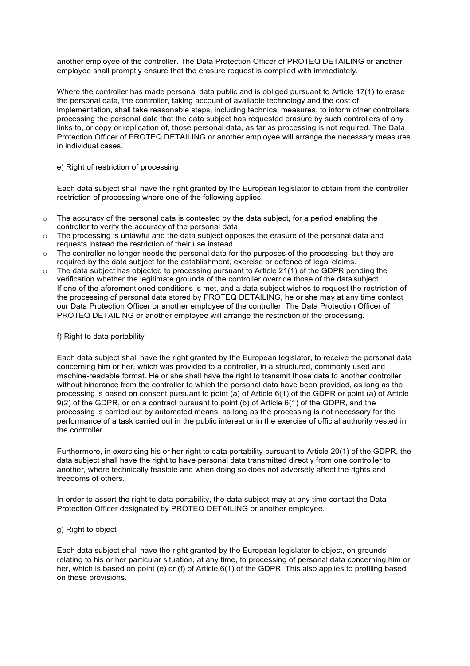another employee of the controller. The Data Protection Officer of PROTEQ DETAILING or another employee shall promptly ensure that the erasure request is complied with immediately.

Where the controller has made personal data public and is obliged pursuant to Article 17(1) to erase the personal data, the controller, taking account of available technology and the cost of implementation, shall take reasonable steps, including technical measures, to inform other controllers processing the personal data that the data subject has requested erasure by such controllers of any links to, or copy or replication of, those personal data, as far as processing is not required. The Data Protection Officer of PROTEQ DETAILING or another employee will arrange the necessary measures in individual cases.

e) Right of restriction of processing

Each data subject shall have the right granted by the European legislator to obtain from the controller restriction of processing where one of the following applies:

- $\circ$  The accuracy of the personal data is contested by the data subject, for a period enabling the controller to verify the accuracy of the personal data.
- o The processing is unlawful and the data subject opposes the erasure of the personal data and requests instead the restriction of their use instead.
- $\circ$  The controller no longer needs the personal data for the purposes of the processing, but they are required by the data subject for the establishment, exercise or defence of legal claims.
- The data subject has objected to processing pursuant to Article 21(1) of the GDPR pending the verification whether the legitimate grounds of the controller override those of the data subject. If one of the aforementioned conditions is met, and a data subject wishes to request the restriction of the processing of personal data stored by PROTEQ DETAILING, he or she may at any time contact our Data Protection Officer or another employee of the controller. The Data Protection Officer of PROTEQ DETAILING or another employee will arrange the restriction of the processing.

## f) Right to data portability

Each data subject shall have the right granted by the European legislator, to receive the personal data concerning him or her, which was provided to a controller, in a structured, commonly used and machine-readable format. He or she shall have the right to transmit those data to another controller without hindrance from the controller to which the personal data have been provided, as long as the processing is based on consent pursuant to point (a) of Article 6(1) of the GDPR or point (a) of Article 9(2) of the GDPR, or on a contract pursuant to point (b) of Article 6(1) of the GDPR, and the processing is carried out by automated means, as long as the processing is not necessary for the performance of a task carried out in the public interest or in the exercise of official authority vested in the controller.

Furthermore, in exercising his or her right to data portability pursuant to Article 20(1) of the GDPR, the data subject shall have the right to have personal data transmitted directly from one controller to another, where technically feasible and when doing so does not adversely affect the rights and freedoms of others.

In order to assert the right to data portability, the data subject may at any time contact the Data Protection Officer designated by PROTEQ DETAILING or another employee.

### g) Right to object

Each data subject shall have the right granted by the European legislator to object, on grounds relating to his or her particular situation, at any time, to processing of personal data concerning him or her, which is based on point (e) or (f) of Article 6(1) of the GDPR. This also applies to profiling based on these provisions.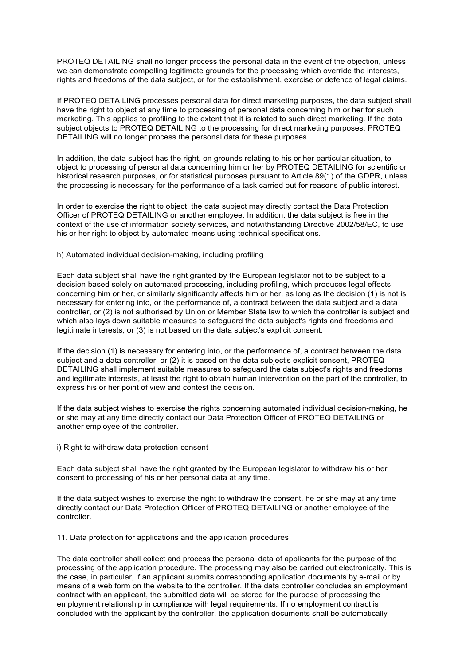PROTEQ DETAILING shall no longer process the personal data in the event of the objection, unless we can demonstrate compelling legitimate grounds for the processing which override the interests, rights and freedoms of the data subject, or for the establishment, exercise or defence of legal claims.

If PROTEQ DETAILING processes personal data for direct marketing purposes, the data subject shall have the right to object at any time to processing of personal data concerning him or her for such marketing. This applies to profiling to the extent that it is related to such direct marketing. If the data subject objects to PROTEQ DETAILING to the processing for direct marketing purposes, PROTEQ DETAILING will no longer process the personal data for these purposes.

In addition, the data subject has the right, on grounds relating to his or her particular situation, to object to processing of personal data concerning him or her by PROTEQ DETAILING for scientific or historical research purposes, or for statistical purposes pursuant to Article 89(1) of the GDPR, unless the processing is necessary for the performance of a task carried out for reasons of public interest.

In order to exercise the right to object, the data subject may directly contact the Data Protection Officer of PROTEQ DETAILING or another employee. In addition, the data subject is free in the context of the use of information society services, and notwithstanding Directive 2002/58/EC, to use his or her right to object by automated means using technical specifications.

## h) Automated individual decision-making, including profiling

Each data subject shall have the right granted by the European legislator not to be subject to a decision based solely on automated processing, including profiling, which produces legal effects concerning him or her, or similarly significantly affects him or her, as long as the decision (1) is not is necessary for entering into, or the performance of, a contract between the data subject and a data controller, or (2) is not authorised by Union or Member State law to which the controller is subject and which also lays down suitable measures to safeguard the data subject's rights and freedoms and legitimate interests, or (3) is not based on the data subject's explicit consent.

If the decision (1) is necessary for entering into, or the performance of, a contract between the data subject and a data controller, or (2) it is based on the data subject's explicit consent, PROTEQ DETAILING shall implement suitable measures to safeguard the data subject's rights and freedoms and legitimate interests, at least the right to obtain human intervention on the part of the controller, to express his or her point of view and contest the decision.

If the data subject wishes to exercise the rights concerning automated individual decision-making, he or she may at any time directly contact our Data Protection Officer of PROTEQ DETAILING or another employee of the controller.

i) Right to withdraw data protection consent

Each data subject shall have the right granted by the European legislator to withdraw his or her consent to processing of his or her personal data at any time.

If the data subject wishes to exercise the right to withdraw the consent, he or she may at any time directly contact our Data Protection Officer of PROTEQ DETAILING or another employee of the controller.

11. Data protection for applications and the application procedures

The data controller shall collect and process the personal data of applicants for the purpose of the processing of the application procedure. The processing may also be carried out electronically. This is the case, in particular, if an applicant submits corresponding application documents by e-mail or by means of a web form on the website to the controller. If the data controller concludes an employment contract with an applicant, the submitted data will be stored for the purpose of processing the employment relationship in compliance with legal requirements. If no employment contract is concluded with the applicant by the controller, the application documents shall be automatically